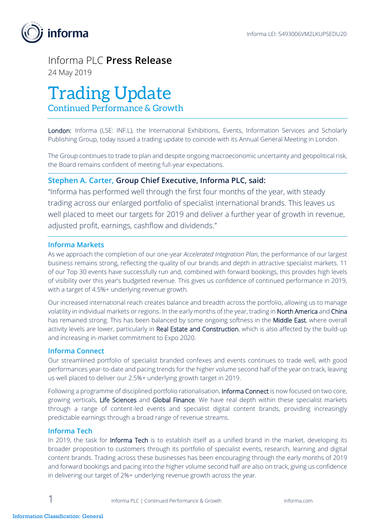

## Informa PLC **Press Release** 24 May 2019

# Trading Update

Continued Performance & Growth

London: Informa (LSE: INF.L), the International Exhibitions, Events, Information Services and Scholarly Publishing Group, today issued a trading update to coincide with its Annual General Meeting in London.

The Group continues to trade to plan and despite ongoing macroeconomic uncertainty and geopolitical risk, the Board remains confident of meeting full-year expectations.

### **Stephen A. Carter, Group Chief Executive, Informa PLC, said:**

"Informa has performed well through the first four months of the year, with steady trading across our enlarged portfolio of specialist international brands. This leaves us well placed to meet our targets for 2019 and deliver a further year of growth in revenue, adjusted profit, earnings, cashflow and dividends."

#### **Informa Markets**

As we approach the completion of our one-year *Accelerated Integration Plan*, the performance of our largest business remains strong, reflecting the quality of our brands and depth in attractive specialist markets. 11 of our Top 30 events have successfully run and, combined with forward bookings, this provides high levels of visibility over this year's budgeted revenue. This gives us confidence of continued performance in 2019, with a target of 4.5%+ underlying revenue growth.

Our increased international reach creates balance and breadth across the portfolio, allowing us to manage volatility in individual markets or regions. In the early months of the year, trading in North America and China has remained strong. This has been balanced by some ongoing softness in the **Middle East**, where overall activity levels are lower, particularly in Real Estate and Construction, which is also affected by the build-up and increasing in-market commitment to Expo 2020.

#### **Informa Connect**

Our streamlined portfolio of specialist branded confexes and events continues to trade well, with good performances year-to-date and pacing trends for the higher volume second half of the year on track, leaving us well placed to deliver our 2.5%+ underlying growth target in 2019.

Following a programme of disciplined portfolio rationalisation, Informa Connect is now focused on two core, growing verticals, Life Sciences and Global Finance. We have real depth within these specialist markets through a range of content-led events and specialist digital content brands, providing increasingly predictable earnings through a broad range of revenue streams.

#### **Informa Tech**

In 2019, the task for Informa Tech is to establish itself as a unified brand in the market, developing its broader proposition to customers through its portfolio of specialist events, research, learning and digital content brands. Trading across these businesses has been encouraging through the early months of 2019 and forward bookings and pacing into the higher volume second half are also on track, giving us confidence in delivering our target of 2%+ underlying revenue growth across the year.